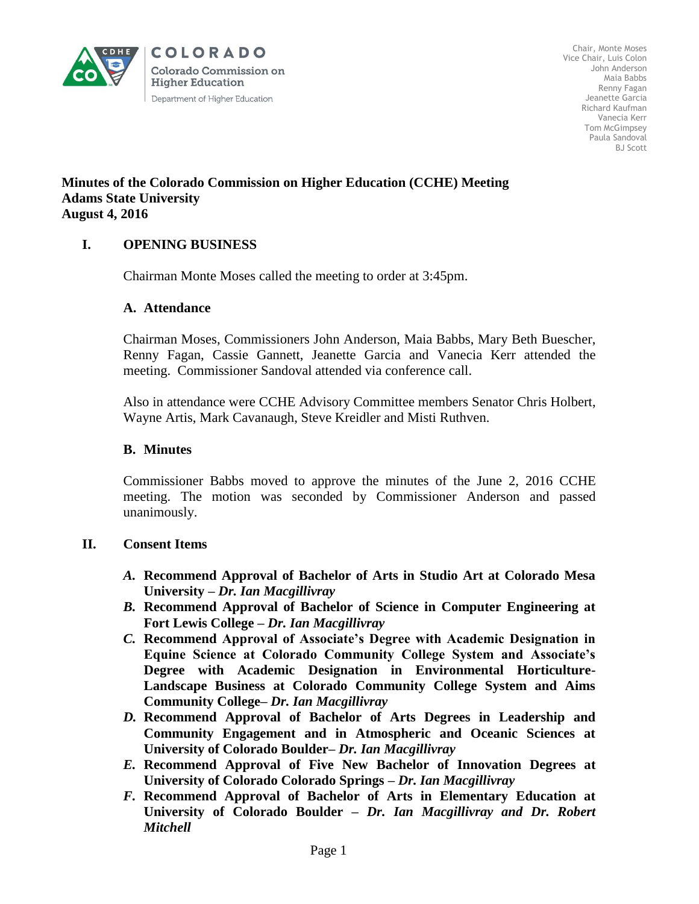

Chair, Monte Moses Vice Chair, Luis Colon John Anderson Maia Babbs Renny Fagan Jeanette Garcia Richard Kaufman Vanecia Kerr Tom McGimpsey Paula Sandoval BJ Scott

## **Minutes of the Colorado Commission on Higher Education (CCHE) Meeting Adams State University August 4, 2016**

# **I. OPENING BUSINESS**

Chairman Monte Moses called the meeting to order at 3:45pm.

## **A. Attendance**

Chairman Moses, Commissioners John Anderson, Maia Babbs, Mary Beth Buescher, Renny Fagan, Cassie Gannett, Jeanette Garcia and Vanecia Kerr attended the meeting. Commissioner Sandoval attended via conference call.

Also in attendance were CCHE Advisory Committee members Senator Chris Holbert, Wayne Artis, Mark Cavanaugh, Steve Kreidler and Misti Ruthven.

## **B. Minutes**

Commissioner Babbs moved to approve the minutes of the June 2, 2016 CCHE meeting. The motion was seconded by Commissioner Anderson and passed unanimously.

## **II. Consent Items**

- *A.* **Recommend Approval of Bachelor of Arts in Studio Art at Colorado Mesa University –** *Dr. Ian Macgillivray*
- *B.* **Recommend Approval of Bachelor of Science in Computer Engineering at Fort Lewis College –** *Dr. Ian Macgillivray*
- *C.* **Recommend Approval of Associate's Degree with Academic Designation in Equine Science at Colorado Community College System and Associate's Degree with Academic Designation in Environmental Horticulture-Landscape Business at Colorado Community College System and Aims Community College–** *Dr. Ian Macgillivray*
- *D.* **Recommend Approval of Bachelor of Arts Degrees in Leadership and Community Engagement and in Atmospheric and Oceanic Sciences at University of Colorado Boulder–** *Dr. Ian Macgillivray*
- *E.* **Recommend Approval of Five New Bachelor of Innovation Degrees at University of Colorado Colorado Springs –** *Dr. Ian Macgillivray*
- *F.* **Recommend Approval of Bachelor of Arts in Elementary Education at University of Colorado Boulder –** *Dr. Ian Macgillivray and Dr. Robert Mitchell*